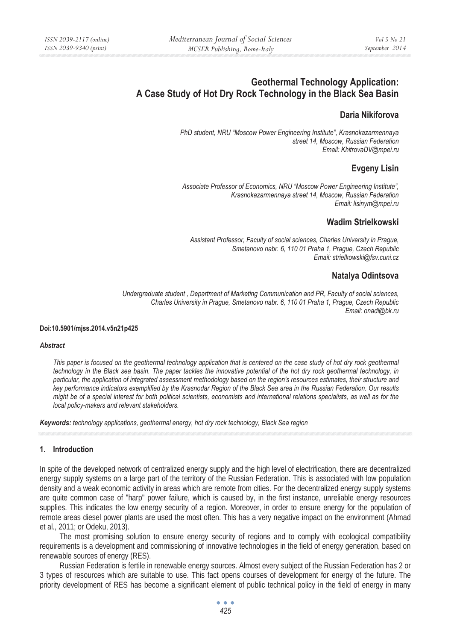# **Geothermal Technology Application: A Case Study of Hot Dry Rock Technology in the Black Sea Basin**

## **Daria Nikiforova**

*PhD student, NRU "Moscow Power Engineering Institute", Krasnokazarmennaya street 14, Moscow, Russian Federation Email: KhitrovaDV@mpei.ru* 

## **Evgeny Lisin**

*Associate Professor of Economics, NRU "Moscow Power Engineering Institute", Krasnokazarmennaya street 14, Moscow, Russian Federation Email: lisinym@mpei.ru* 

## **Wadim Strielkowski**

*Assistant Professor, Faculty of social sciences, Charles University in Prague, Smetanovo nabr. 6, 110 01 Praha 1, Prague, Czech Republic Email: strielkowski@fsv.cuni.cz* 

## **Natalya Odintsova**

*Undergraduate student , Department of Marketing Communication and PR, Faculty of social sciences, Charles University in Prague, Smetanovo nabr. 6, 110 01 Praha 1, Prague, Czech Republic Email: onadi@bk.ru* 

#### **Doi:10.5901/mjss.2014.v5n21p425**

#### *Abstract*

*This paper is focused on the geothermal technology application that is centered on the case study of hot dry rock geothermal technology in the Black sea basin. The paper tackles the innovative potential of the hot dry rock geothermal technology, in particular, the application of integrated assessment methodology based on the region's resources estimates, their structure and key performance indicators exemplified by the Krasnodar Region of the Black Sea area in the Russian Federation. Our results might be of a special interest for both political scientists, economists and international relations specialists, as well as for the local policy-makers and relevant stakeholders.* 

*Keywords: technology applications, geothermal energy, hot dry rock technology, Black Sea region*

### **1. Introduction**

In spite of the developed network of centralized energy supply and the high level of electrification, there are decentralized energy supply systems on a large part of the territory of the Russian Federation. This is associated with low population density and a weak economic activity in areas which are remote from cities. For the decentralized energy supply systems are quite common case of "harp" power failure, which is caused by, in the first instance, unreliable energy resources supplies. This indicates the low energy security of a region. Moreover, in order to ensure energy for the population of remote areas diesel power plants are used the most often. This has a very negative impact on the environment (Ahmad et al., 2011; or Odeku, 2013).

The most promising solution to ensure energy security of regions and to comply with ecological compatibility requirements is a development and commissioning of innovative technologies in the field of energy generation, based on renewable sources of energy (RES).

Russian Federation is fertile in renewable energy sources. Almost every subject of the Russian Federation has 2 or 3 types of resources which are suitable to use. This fact opens courses of development for energy of the future. The priority development of RES has become a significant element of public technical policy in the field of energy in many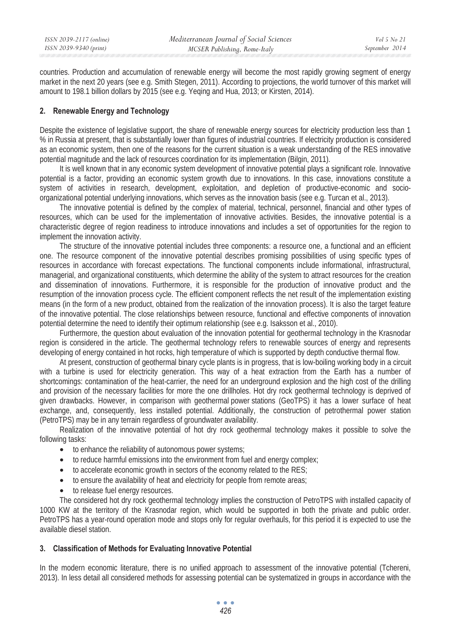countries. Production and accumulation of renewable energy will become the most rapidly growing segment of energy market in the next 20 years (see e.g. Smith Stegen, 2011). According to projections, the world turnover of this market will amount to 198.1 billion dollars by 2015 (see e.g. Yeqing and Hua, 2013; or Kirsten, 2014).

### **2. Renewable Energy and Technology**

Despite the existence of legislative support, the share of renewable energy sources for electricity production less than 1 % in Russia at present, that is substantially lower than figures of industrial countries. If electricity production is considered as an economic system, then one of the reasons for the current situation is a weak understanding of the RES innovative potential magnitude and the lack of resources coordination for its implementation (Bilgin, 2011).

It is well known that in any economic system development of innovative potential plays a significant role. Innovative potential is a factor, providing an economic system growth due to innovations. In this case, innovations constitute a system of activities in research, development, exploitation, and depletion of productive-economic and socioorganizational potential underlying innovations, which serves as the innovation basis (see e.g. Turcan et al., 2013).

The innovative potential is defined by the complex of material, technical, personnel, financial and other types of resources, which can be used for the implementation of innovative activities. Besides, the innovative potential is a characteristic degree of region readiness to introduce innovations and includes a set of opportunities for the region to implement the innovation activity.

The structure of the innovative potential includes three components: a resource one, a functional and an efficient one. The resource component of the innovative potential describes promising possibilities of using specific types of resources in accordance with forecast expectations. The functional components include informational, infrastructural, managerial, and organizational constituents, which determine the ability of the system to attract resources for the creation and dissemination of innovations. Furthermore, it is responsible for the production of innovative product and the resumption of the innovation process cycle. The efficient component reflects the net result of the implementation existing means (in the form of a new product, obtained from the realization of the innovation process). It is also the target feature of the innovative potential. The close relationships between resource, functional and effective components of innovation potential determine the need to identify their optimum relationship (see e.g. Isaksson et al., 2010).

Furthermore, the question about evaluation of the innovation potential for geothermal technology in the Krasnodar region is considered in the article. The geothermal technology refers to renewable sources of energy and represents developing of energy contained in hot rocks, high temperature of which is supported by depth conductive thermal flow.

At present, construction of geothermal binary cycle plants is in progress, that is low-boiling working body in a circuit with a turbine is used for electricity generation. This way of a heat extraction from the Earth has a number of shortcomings: contamination of the heat-carrier, the need for an underground explosion and the high cost of the drilling and provision of the necessary facilities for more the one drillholes. Hot dry rock geothermal technology is deprived of given drawbacks. However, in comparison with geothermal power stations (GeoTPS) it has a lower surface of heat exchange, and, consequently, less installed potential. Additionally, the construction of petrothermal power station (PetroTPS) may be in any terrain regardless of groundwater availability.

Realization of the innovative potential of hot dry rock geothermal technology makes it possible to solve the following tasks:

- to enhance the reliability of autonomous power systems;
- to reduce harmful emissions into the environment from fuel and energy complex;
- to accelerate economic growth in sectors of the economy related to the RES;
- to ensure the availability of heat and electricity for people from remote areas;
- to release fuel energy resources.

The considered hot dry rock geothermal technology implies the construction of PetroTPS with installed capacity of 1000 KW at the territory of the Krasnodar region, which would be supported in both the private and public order. PetroTPS has a year-round operation mode and stops only for regular overhauls, for this period it is expected to use the available diesel station.

### **3. Classification of Methods for Evaluating Innovative Potential**

In the modern economic literature, there is no unified approach to assessment of the innovative potential (Tchereni, 2013). In less detail all considered methods for assessing potential can be systematized in groups in accordance with the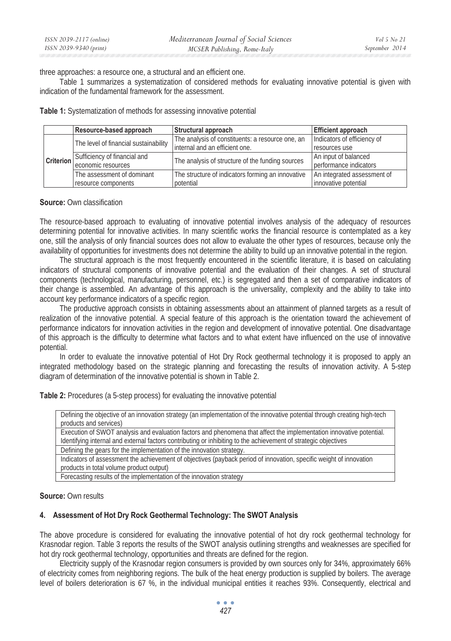three approaches: a resource one, a structural and an efficient one.

Table 1 summarizes a systematization of considered methods for evaluating innovative potential is given with indication of the fundamental framework for the assessment.

**Table 1:** Systematization of methods for assessing innovative potential

|  | Resource-based approach                                             | Structural approach                               | <b>Efficient approach</b>   |
|--|---------------------------------------------------------------------|---------------------------------------------------|-----------------------------|
|  | The level of financial sustainability                               | The analysis of constituents: a resource one, an  | Indicators of efficiency of |
|  |                                                                     | internal and an efficient one.                    | resources use               |
|  | <b>Criterion</b> Sufficiency of financial and<br>economic resources | The analysis of structure of the funding sources  | An input of balanced        |
|  |                                                                     |                                                   | performance indicators      |
|  | The assessment of dominant                                          | The structure of indicators forming an innovative | An integrated assessment of |
|  | resource components                                                 | potential                                         | innovative potential        |

#### **Source:** Own classification

The resource-based approach to evaluating of innovative potential involves analysis of the adequacy of resources determining potential for innovative activities. In many scientific works the financial resource is contemplated as a key one, still the analysis of only financial sources does not allow to evaluate the other types of resources, because only the availability of opportunities for investments does not determine the ability to build up an innovative potential in the region.

The structural approach is the most frequently encountered in the scientific literature, it is based on calculating indicators of structural components of innovative potential and the evaluation of their changes. A set of structural components (technological, manufacturing, personnel, etc.) is segregated and then a set of comparative indicators of their change is assembled. An advantage of this approach is the universality, complexity and the ability to take into account key performance indicators of a specific region.

The productive approach consists in obtaining assessments about an attainment of planned targets as a result of realization of the innovative potential. A special feature of this approach is the orientation toward the achievement of performance indicators for innovation activities in the region and development of innovative potential. One disadvantage of this approach is the difficulty to determine what factors and to what extent have influenced on the use of innovative potential.

In order to evaluate the innovative potential of Hot Dry Rock geothermal technology it is proposed to apply an integrated methodology based on the strategic planning and forecasting the results of innovation activity. A 5-step diagram of determination of the innovative potential is shown in Table 2.

**Table 2:** Procedures (a 5-step process) for evaluating the innovative potential

| Defining the objective of an innovation strategy (an implementation of the innovative potential through creating high-tech |  |  |  |  |
|----------------------------------------------------------------------------------------------------------------------------|--|--|--|--|
| products and services)                                                                                                     |  |  |  |  |
| Execution of SWOT analysis and evaluation factors and phenomena that affect the implementation innovative potential.       |  |  |  |  |
| Identifying internal and external factors contributing or inhibiting to the achievement of strategic objectives            |  |  |  |  |
| Defining the gears for the implementation of the innovation strategy.                                                      |  |  |  |  |
| Indicators of assessment the achievement of objectives (payback period of innovation, specific weight of innovation        |  |  |  |  |
| products in total volume product output)                                                                                   |  |  |  |  |
| Forecasting results of the implementation of the innovation strategy                                                       |  |  |  |  |
|                                                                                                                            |  |  |  |  |

### **Source:** Own results

### **4. Assessment of Hot Dry Rock Geothermal Technology: The SWOT Analysis**

The above procedure is considered for evaluating the innovative potential of hot dry rock geothermal technology for Krasnodar region. Table 3 reports the results of the SWOT analysis outlining strengths and weaknesses are specified for hot dry rock geothermal technology, opportunities and threats are defined for the region.

Electricity supply of the Krasnodar region consumers is provided by own sources only for 34%, approximately 66% of electricity comes from neighboring regions. The bulk of the heat energy production is supplied by boilers. The average level of boilers deterioration is 67 %, in the individual municipal entities it reaches 93%. Consequently, electrical and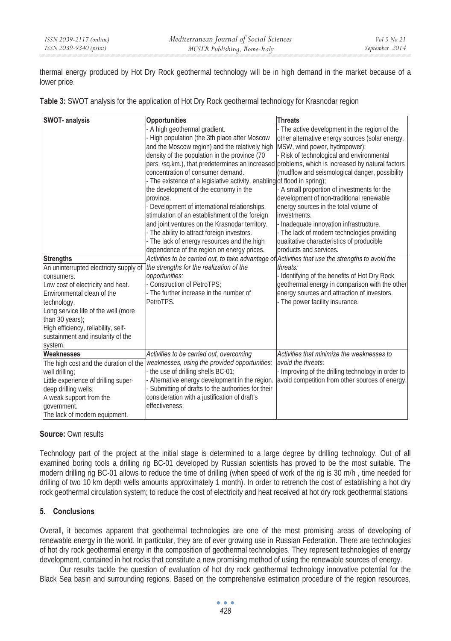thermal energy produced by Hot Dry Rock geothermal technology will be in high demand in the market because of a lower price.

| Table 3: SWOT analysis for the application of Hot Dry Rock geothermal technology for Krasnodar region |  |  |
|-------------------------------------------------------------------------------------------------------|--|--|
|                                                                                                       |  |  |

| <b>SWOT-</b> analysis                  | <b>Opportunities</b>                                                                            | <b>Threats</b>                                     |  |
|----------------------------------------|-------------------------------------------------------------------------------------------------|----------------------------------------------------|--|
|                                        | A high geothermal gradient.                                                                     | - The active development in the region of the      |  |
|                                        | High population (the 3th place after Moscow                                                     | other alternative energy sources (solar energy,    |  |
|                                        | and the Moscow region) and the relatively high                                                  | MSW, wind power, hydropower);                      |  |
|                                        | density of the population in the province (70                                                   | - Risk of technological and environmental          |  |
|                                        | pers. /sq.km.), that predetermines an increased problems, which is increased by natural factors |                                                    |  |
|                                        | concentration of consumer demand.                                                               | (mudflow and seismological danger, possibility     |  |
|                                        | The existence of a legislative activity, enabling of flood in spring);                          |                                                    |  |
|                                        | the development of the economy in the                                                           | - A small proportion of investments for the        |  |
|                                        | province.                                                                                       | development of non-traditional renewable           |  |
|                                        | Development of international relationships,                                                     | energy sources in the total volume of              |  |
|                                        | stimulation of an establishment of the foreign                                                  | investments.                                       |  |
|                                        | and joint ventures on the Krasnodar territory.                                                  | - Inadequate innovation infrastructure.            |  |
|                                        | The ability to attract foreign investors.                                                       | - The lack of modern technologies providing        |  |
|                                        | The lack of energy resources and the high                                                       | qualitative characteristics of producible          |  |
|                                        | dependence of the region on energy prices.                                                      | products and services.                             |  |
| <b>Strengths</b>                       | Activities to be carried out, to take advantage o                                               | Activities that use the strengths to avoid the     |  |
| An uninterrupted electricity supply of | the strengths for the realization of the                                                        | threats:                                           |  |
| consumers.                             | opportunities:                                                                                  | Identifying of the benefits of Hot Dry Rock        |  |
| Low cost of electricity and heat.      | Construction of PetroTPS:                                                                       | geothermal energy in comparison with the other     |  |
| Environmental clean of the             | The further increase in the number of                                                           | energy sources and attraction of investors.        |  |
| technology.                            | PetroTPS.                                                                                       | - The power facility insurance.                    |  |
| Long service life of the well (more    |                                                                                                 |                                                    |  |
| than 30 years);                        |                                                                                                 |                                                    |  |
| High efficiency, reliability, self-    |                                                                                                 |                                                    |  |
| sustainment and insularity of the      |                                                                                                 |                                                    |  |
| system.                                |                                                                                                 |                                                    |  |
| Weaknesses                             | Activities to be carried out, overcoming                                                        | Activities that minimize the weaknesses to         |  |
| The high cost and the duration of the  | weaknesses, using the provided opportunities:                                                   | avoid the threats:                                 |  |
| well drilling;                         | the use of drilling shells BC-01;                                                               | - Improving of the drilling technology in order to |  |
| Little experience of drilling super-   | Alternative energy development in the region.                                                   | avoid competition from other sources of energy.    |  |
| deep drilling wells;                   | Submitting of drafts to the authorities for their                                               |                                                    |  |
| A weak support from the                | consideration with a justification of draft's                                                   |                                                    |  |
| government.                            | effectiveness.                                                                                  |                                                    |  |
| The lack of modern equipment.          |                                                                                                 |                                                    |  |

## **Source:** Own results

Technology part of the project at the initial stage is determined to a large degree by drilling technology. Out of all examined boring tools a drilling rig BC-01 developed by Russian scientists has proved to be the most suitable. The modern drilling rig BC-01 allows to reduce the time of drilling (when speed of work of the rig is 30 m/h , time needed for drilling of two 10 km depth wells amounts approximately 1 month). In order to retrench the cost of establishing a hot dry rock geothermal circulation system; to reduce the cost of electricity and heat received at hot dry rock geothermal stations

## **5. Conclusions**

Overall, it becomes apparent that geothermal technologies are one of the most promising areas of developing of renewable energy in the world. In particular, they are of ever growing use in Russian Federation. There are technologies of hot dry rock geothermal energy in the composition of geothermal technologies. They represent technologies of energy development, contained in hot rocks that constitute a new promising method of using the renewable sources of energy.

Our results tackle the question of evaluation of hot dry rock geothermal technology innovative potential for the Black Sea basin and surrounding regions. Based on the comprehensive estimation procedure of the region resources,